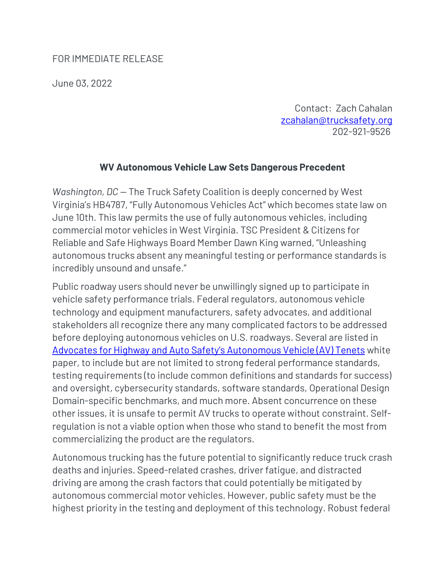## FOR IMMEDIATE RELEASE

June 03, 2022

Contact: Zach Cahalan [zcahalan@trucksafety.org](mailto:zcahalan@trucksafety.org) 202-921-9526

## **WV Autonomous Vehicle Law Sets Dangerous Precedent**

*Washington, DC - The Truck Safety Coalition is deeply concerned by West* Virginia's HB4787, "Fully Autonomous Vehicles Act" which becomes state law on June 10th. This law permits the use of fully autonomous vehicles, including commercial motor vehicles in West Virginia. TSC President & Citizens for Reliable and Safe Highways Board Member Dawn King warned, "Unleashing autonomous trucks absent any meaningful testing or performance standards is incredibly unsound and unsafe."

Public roadway users should never be unwillingly signed up to participate in vehicle safety performance trials. Federal regulators, autonomous vehicle technology and equipment manufacturers, safety advocates, and additional stakeholders all recognize there any many complicated factors to be addressed before deploying autonomous vehicles on U.S. roadways. Several are listed in [Advocates for Highway and Auto Safety](https://saferoads.org/wp-content/uploads/2020/11/AV-Tenets-11-24-20-1.pdf)'s Autonomous Vehicle (AV) Tenets white paper, to include but are not limited to strong federal performance standards, testing requirements (to include common definitions and standards for success) and oversight, cybersecurity standards, software standards, Operational Design Domain-specific benchmarks, and much more. Absent concurrence on these other issues, it is unsafe to permit AV trucks to operate without constraint. Selfregulation is not a viable option when those who stand to benefit the most from commercializing the product are the regulators.

Autonomous trucking has the future potential to significantly reduce truck crash deaths and injuries. Speed-related crashes, driver fatigue, and distracted driving are among the crash factors that could potentially be mitigated by autonomous commercial motor vehicles. However, public safety must be the highest priority in the testing and deployment of this technology. Robust federal